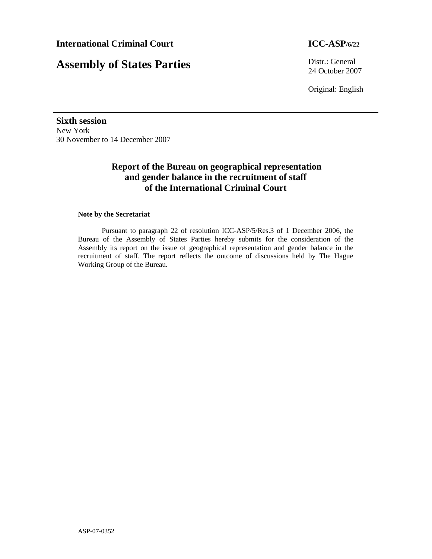**Assembly of States Parties** Distr.: General 24 October 2007

Original: English

**Sixth session**  New York 30 November to 14 December 2007

# **Report of the Bureau on geographical representation and gender balance in the recruitment of staff of the International Criminal Court**

# **Note by the Secretariat**

Pursuant to paragraph 22 of resolution ICC-ASP/5/Res.3 of 1 December 2006, the Bureau of the Assembly of States Parties hereby submits for the consideration of the Assembly its report on the issue of geographical representation and gender balance in the recruitment of staff. The report reflects the outcome of discussions held by The Hague Working Group of the Bureau.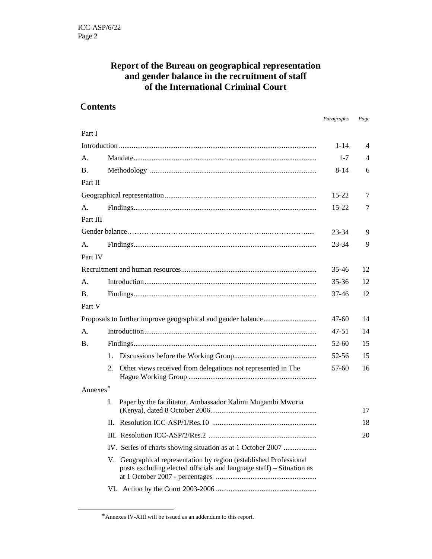# **Report of the Bureau on geographical representation and gender balance in the recruitment of staff of the International Criminal Court**

# **Contents**

*Paragraphs Page* 

| Part I         |       |                                                                                                                                            |          |                |
|----------------|-------|--------------------------------------------------------------------------------------------------------------------------------------------|----------|----------------|
|                |       |                                                                                                                                            | $1 - 14$ | $\overline{4}$ |
| А.             |       |                                                                                                                                            | $1 - 7$  | $\overline{4}$ |
| B.             |       |                                                                                                                                            | 8-14     | 6              |
| Part II        |       |                                                                                                                                            |          |                |
|                | 15-22 | 7                                                                                                                                          |          |                |
| А.             |       |                                                                                                                                            |          | 7              |
| Part III       |       |                                                                                                                                            |          |                |
|                | 23-34 | 9                                                                                                                                          |          |                |
| $\mathsf{A}$ . |       |                                                                                                                                            |          | 9              |
| Part IV        |       |                                                                                                                                            |          |                |
|                | 35-46 | 12                                                                                                                                         |          |                |
| А.             |       |                                                                                                                                            | 35-36    | 12             |
| Β.             |       |                                                                                                                                            |          | 12             |
| Part V         |       |                                                                                                                                            |          |                |
|                |       |                                                                                                                                            |          | 14             |
| А.             |       |                                                                                                                                            | 47-51    | 14             |
| B.             |       |                                                                                                                                            | $52-60$  | 15             |
|                | 1.    |                                                                                                                                            | 52-56    | 15             |
|                | 2.    | Other views received from delegations not represented in The                                                                               | 57-60    | 16             |
| Annexes*       |       |                                                                                                                                            |          |                |
|                | I.    | Paper by the facilitator, Ambassador Kalimi Mugambi Mworia                                                                                 |          | 17             |
|                | H.    |                                                                                                                                            |          | 18             |
|                |       |                                                                                                                                            |          | 20             |
|                |       | IV. Series of charts showing situation as at 1 October 2007                                                                                |          |                |
|                |       | V. Geographical representation by region (established Professional<br>posts excluding elected officials and language staff) – Situation as |          |                |
|                |       |                                                                                                                                            |          |                |
|                |       |                                                                                                                                            |          |                |

-

<sup>∗</sup> Annexes IV-XIII will be issued as an addendum to this report.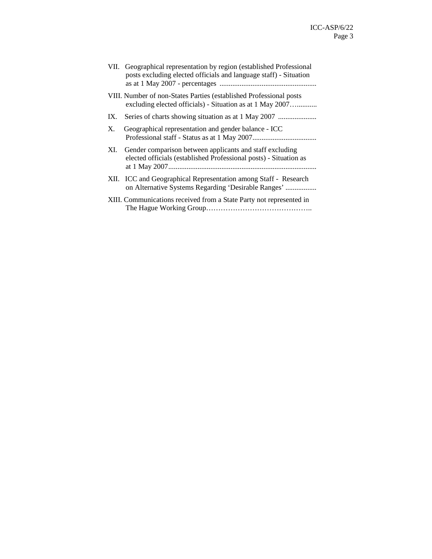|    |     | VII. Geographical representation by region (established Professional<br>posts excluding elected officials and language staff) - Situation |
|----|-----|-------------------------------------------------------------------------------------------------------------------------------------------|
|    |     | VIII. Number of non-States Parties (established Professional posts<br>excluding elected officials) - Situation as at 1 May 2007           |
|    | IX. |                                                                                                                                           |
| Χ. |     | Geographical representation and gender balance - ICC                                                                                      |
|    | XI. | Gender comparison between applicants and staff excluding<br>elected officials (established Professional posts) - Situation as             |
|    |     | XII. ICC and Geographical Representation among Staff - Research<br>on Alternative Systems Regarding 'Desirable Ranges'                    |
|    |     | XIII. Communications received from a State Party not represented in                                                                       |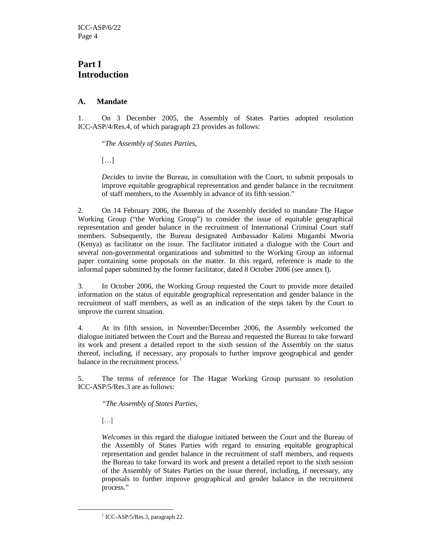# **Part I Introduction**

# **A. Mandate**

1. On 3 December 2005, the Assembly of States Parties adopted resolution ICC-ASP/4/Res.4, of which paragraph 23 provides as follows:

"*The Assembly of States Parties,* 

 $[\ldots]$ 

*Decides* to invite the Bureau, in consultation with the Court, to submit proposals to improve equitable geographical representation and gender balance in the recruitment of staff members, to the Assembly in advance of its fifth session."

2. On 14 February 2006, the Bureau of the Assembly decided to mandate The Hague Working Group ("the Working Group") to consider the issue of equitable geographical representation and gender balance in the recruitment of International Criminal Court staff members. Subsequently, the Bureau designated Ambassador Kalimi Mugambi Mworia (Kenya) as facilitator on the issue. The facilitator initiated a dialogue with the Court and several non-governmental organizations and submitted to the Working Group an informal paper containing some proposals on the matter. In this regard, reference is made to the informal paper submitted by the former facilitator, dated 8 October 2006 (see annex I).

3. In October 2006, the Working Group requested the Court to provide more detailed information on the status of equitable geographical representation and gender balance in the recruitment of staff members, as well as an indication of the steps taken by the Court to improve the current situation.

4. At its fifth session, in November/December 2006, the Assembly welcomed the dialogue initiated between the Court and the Bureau and requested the Bureau to take forward its work and present a detailed report to the sixth session of the Assembly on the status thereof, including, if necessary, any proposals to further improve geographical and gender balance in the recruitment process.<sup>1</sup>

5. The terms of reference for The Hague Working Group pursuant to resolution ICC-ASP/5/Res.3 are as follows:

*"The Assembly of States Parties,* 

 $[\ldots]$ 

-

*Welcomes* in this regard the dialogue initiated between the Court and the Bureau of the Assembly of States Parties with regard to ensuring equitable geographical representation and gender balance in the recruitment of staff members, and requests the Bureau to take forward its work and present a detailed report to the sixth session of the Assembly of States Parties on the issue thereof, including, if necessary, any proposals to further improve geographical and gender balance in the recruitment process."

<sup>1</sup> ICC-ASP/5/Res.3, paragraph 22.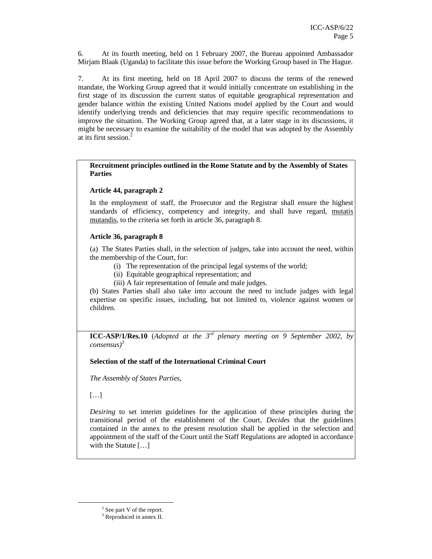6. At its fourth meeting, held on 1 February 2007, the Bureau appointed Ambassador Mirjam Blaak (Uganda) to facilitate this issue before the Working Group based in The Hague.

7. At its first meeting, held on 18 April 2007 to discuss the terms of the renewed mandate, the Working Group agreed that it would initially concentrate on establishing in the first stage of its discussion the current status of equitable geographical representation and gender balance within the existing United Nations model applied by the Court and would identify underlying trends and deficiencies that may require specific recommendations to improve the situation. The Working Group agreed that, at a later stage in its discussions, it might be necessary to examine the suitability of the model that was adopted by the Assembly at its first session.<sup>2</sup>

**Recruitment principles outlined in the Rome Statute and by the Assembly of States Parties** 

## **Article 44, paragraph 2**

In the employment of staff, the Prosecutor and the Registrar shall ensure the highest standards of efficiency, competency and integrity, and shall have regard, mutatis mutandis, to the criteria set forth in article 36, paragraph 8.

## **Article 36, paragraph 8**

(a) The States Parties shall, in the selection of judges, take into account the need, within the membership of the Court, for:

- (i) The representation of the principal legal systems of the world;
- (ii) Equitable geographical representation; and
- (iii) A fair representation of female and male judges.

(b) States Parties shall also take into account the need to include judges with legal expertise on specific issues, including, but not limited to, violence against women or children.

**ICC-ASP/1/Res.10** (*Adopted at the 3rd plenary meeting on 9 September 2002, by consensus)<sup>3</sup>*

# **Selection of the staff of the International Criminal Court**

*The Assembly of States Parties,* 

 $[\dots]$ 

-

*Desiring* to set interim guidelines for the application of these principles during the transitional period of the establishment of the Court, *Decides* that the guidelines contained in the annex to the present resolution shall be applied in the selection and appointment of the staff of the Court until the Staff Regulations are adopted in accordance with the Statute [...]

 $2$  See part V of the report.

<sup>&</sup>lt;sup>3</sup> Reproduced in annex II.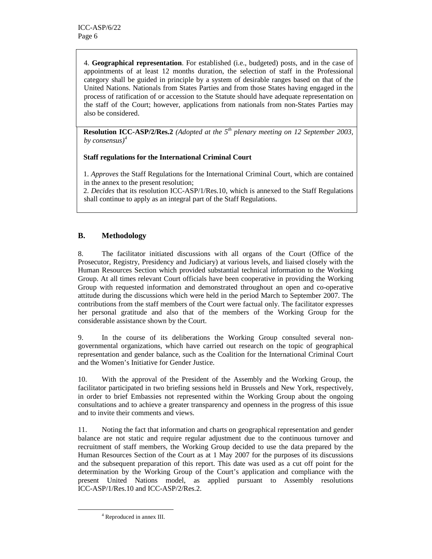4. **Geographical representation**. For established (i.e., budgeted) posts, and in the case of appointments of at least 12 months duration, the selection of staff in the Professional category shall be guided in principle by a system of desirable ranges based on that of the United Nations. Nationals from States Parties and from those States having engaged in the process of ratification of or accession to the Statute should have adequate representation on the staff of the Court; however, applications from nationals from non-States Parties may also be considered.

 **Resolution ICC-ASP/2/Res.2** *(Adopted at the 5th plenary meeting on 12 September 2003, by consensus)<sup>4</sup>*

# **Staff regulations for the International Criminal Court**

 1. *Approves* the Staff Regulations for the International Criminal Court, which are contained in the annex to the present resolution;

 2. *Decides* that its resolution ICC-ASP/1/Res.10, which is annexed to the Staff Regulations shall continue to apply as an integral part of the Staff Regulations.

# **B. Methodology**

8. The facilitator initiated discussions with all organs of the Court (Office of the Prosecutor, Registry, Presidency and Judiciary) at various levels, and liaised closely with the Human Resources Section which provided substantial technical information to the Working Group. At all times relevant Court officials have been cooperative in providing the Working Group with requested information and demonstrated throughout an open and co-operative attitude during the discussions which were held in the period March to September 2007. The contributions from the staff members of the Court were factual only. The facilitator expresses her personal gratitude and also that of the members of the Working Group for the considerable assistance shown by the Court.

9. In the course of its deliberations the Working Group consulted several nongovernmental organizations, which have carried out research on the topic of geographical representation and gender balance, such as the Coalition for the International Criminal Court and the Women's Initiative for Gender Justice.

10. With the approval of the President of the Assembly and the Working Group, the facilitator participated in two briefing sessions held in Brussels and New York, respectively, in order to brief Embassies not represented within the Working Group about the ongoing consultations and to achieve a greater transparency and openness in the progress of this issue and to invite their comments and views.

11. Noting the fact that information and charts on geographical representation and gender balance are not static and require regular adjustment due to the continuous turnover and recruitment of staff members, the Working Group decided to use the data prepared by the Human Resources Section of the Court as at 1 May 2007 for the purposes of its discussions and the subsequent preparation of this report. This date was used as a cut off point for the determination by the Working Group of the Court's application and compliance with the present United Nations model, as applied pursuant to Assembly resolutions ICC-ASP/1/Res.10 and ICC-ASP/2/Res.2.

-

<sup>4</sup> Reproduced in annex III.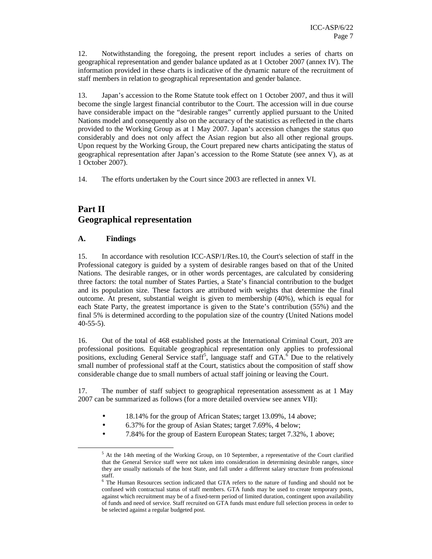12. Notwithstanding the foregoing, the present report includes a series of charts on geographical representation and gender balance updated as at 1 October 2007 (annex IV). The information provided in these charts is indicative of the dynamic nature of the recruitment of staff members in relation to geographical representation and gender balance.

13. Japan's accession to the Rome Statute took effect on 1 October 2007, and thus it will become the single largest financial contributor to the Court. The accession will in due course have considerable impact on the "desirable ranges" currently applied pursuant to the United Nations model and consequently also on the accuracy of the statistics as reflected in the charts provided to the Working Group as at 1 May 2007. Japan's accession changes the status quo considerably and does not only affect the Asian region but also all other regional groups. Upon request by the Working Group, the Court prepared new charts anticipating the status of geographical representation after Japan's accession to the Rome Statute (see annex V), as at 1 October 2007).

14. The efforts undertaken by the Court since 2003 are reflected in annex VI.

# **Part II Geographical representation**

# **A. Findings**

-

15. In accordance with resolution ICC-ASP/1/Res.10, the Court's selection of staff in the Professional category is guided by a system of desirable ranges based on that of the United Nations. The desirable ranges, or in other words percentages, are calculated by considering three factors: the total number of States Parties, a State's financial contribution to the budget and its population size. These factors are attributed with weights that determine the final outcome. At present, substantial weight is given to membership (40%), which is equal for each State Party, the greatest importance is given to the State's contribution (55%) and the final 5% is determined according to the population size of the country (United Nations model 40-55-5).

16. Out of the total of 468 established posts at the International Criminal Court, 203 are professional positions. Equitable geographical representation only applies to professional positions, excluding General Service staff<sup>5</sup>, language staff and  $GTA$ <sup>6</sup>. Due to the relatively small number of professional staff at the Court, statistics about the composition of staff show considerable change due to small numbers of actual staff joining or leaving the Court.

17. The number of staff subject to geographical representation assessment as at 1 May 2007 can be summarized as follows (for a more detailed overview see annex VII):

- 18.14% for the group of African States; target 13.09%, 14 above;
- 6.37% for the group of Asian States; target 7.69%, 4 below;
- 7.84% for the group of Eastern European States; target 7.32%, 1 above;

<sup>&</sup>lt;sup>5</sup> At the 14th meeting of the Working Group, on 10 September, a representative of the Court clarified that the General Service staff were not taken into consideration in determining desirable ranges, since they are usually nationals of the host State, and fall under a different salary structure from professional staff.

<sup>&</sup>lt;sup>6</sup> The Human Resources section indicated that GTA refers to the nature of funding and should not be confused with contractual status of staff members. GTA funds may be used to create temporary posts, against which recruitment may be of a fixed-term period of limited duration, contingent upon availability of funds and need of service. Staff recruited on GTA funds must endure full selection process in order to be selected against a regular budgeted post.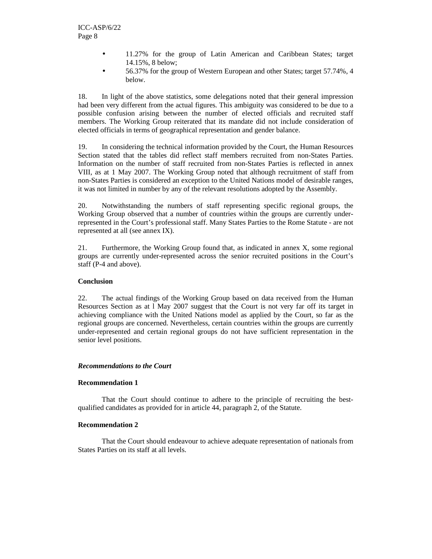- 11.27% for the group of Latin American and Caribbean States; target 14.15%, 8 below;
- 56.37% for the group of Western European and other States; target 57.74%, 4 below.

18. In light of the above statistics, some delegations noted that their general impression had been very different from the actual figures. This ambiguity was considered to be due to a possible confusion arising between the number of elected officials and recruited staff members. The Working Group reiterated that its mandate did not include consideration of elected officials in terms of geographical representation and gender balance.

19. In considering the technical information provided by the Court, the Human Resources Section stated that the tables did reflect staff members recruited from non-States Parties. Information on the number of staff recruited from non-States Parties is reflected in annex VIII, as at 1 May 2007. The Working Group noted that although recruitment of staff from non-States Parties is considered an exception to the United Nations model of desirable ranges, it was not limited in number by any of the relevant resolutions adopted by the Assembly.

20. Notwithstanding the numbers of staff representing specific regional groups, the Working Group observed that a number of countries within the groups are currently underrepresented in the Court's professional staff. Many States Parties to the Rome Statute - are not represented at all (see annex IX).

21. Furthermore, the Working Group found that, as indicated in annex X, some regional groups are currently under-represented across the senior recruited positions in the Court's staff (P-4 and above).

# **Conclusion**

22. The actual findings of the Working Group based on data received from the Human Resources Section as at l May 2007 suggest that the Court is not very far off its target in achieving compliance with the United Nations model as applied by the Court, so far as the regional groups are concerned. Nevertheless, certain countries within the groups are currently under-represented and certain regional groups do not have sufficient representation in the senior level positions.

# *Recommendations to the Court*

# **Recommendation 1**

That the Court should continue to adhere to the principle of recruiting the bestqualified candidates as provided for in article 44, paragraph 2, of the Statute.

# **Recommendation 2**

That the Court should endeavour to achieve adequate representation of nationals from States Parties on its staff at all levels.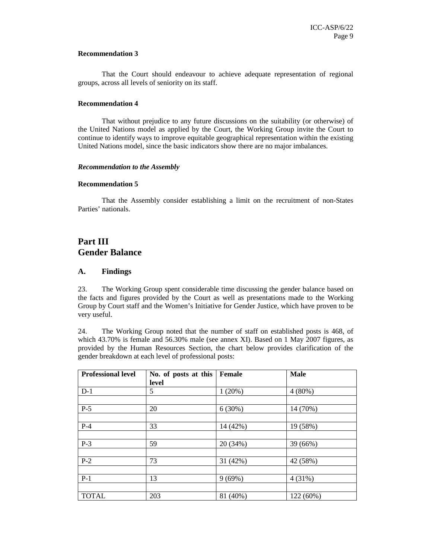## **Recommendation 3**

That the Court should endeavour to achieve adequate representation of regional groups, across all levels of seniority on its staff.

### **Recommendation 4**

That without prejudice to any future discussions on the suitability (or otherwise) of the United Nations model as applied by the Court, the Working Group invite the Court to continue to identify ways to improve equitable geographical representation within the existing United Nations model, since the basic indicators show there are no major imbalances.

## *Recommendation to the Assembly*

## **Recommendation 5**

That the Assembly consider establishing a limit on the recruitment of non-States Parties' nationals.

# **Part III Gender Balance**

# **A. Findings**

23. The Working Group spent considerable time discussing the gender balance based on the facts and figures provided by the Court as well as presentations made to the Working Group by Court staff and the Women's Initiative for Gender Justice, which have proven to be very useful.

24. The Working Group noted that the number of staff on established posts is 468, of which 43.70% is female and 56.30% male (see annex XI). Based on 1 May 2007 figures, as provided by the Human Resources Section, the chart below provides clarification of the gender breakdown at each level of professional posts:

| <b>Professional level</b> | No. of posts at this<br>level | Female   | <b>Male</b> |
|---------------------------|-------------------------------|----------|-------------|
| $D-1$                     | 5                             | 1(20%)   | $4(80\%)$   |
|                           |                               |          |             |
| $P-5$                     | 20                            | 6(30%)   | 14 (70%)    |
|                           |                               |          |             |
| $P-4$                     | 33                            | 14 (42%) | 19 (58%)    |
|                           |                               |          |             |
| $P-3$                     | 59                            | 20 (34%) | 39 (66%)    |
|                           |                               |          |             |
| $P-2$                     | 73                            | 31 (42%) | 42 (58%)    |
|                           |                               |          |             |
| $P-1$                     | 13                            | 9(69%)   | 4(31%)      |
|                           |                               |          |             |
| <b>TOTAL</b>              | 203                           | 81 (40%) | 122 (60%)   |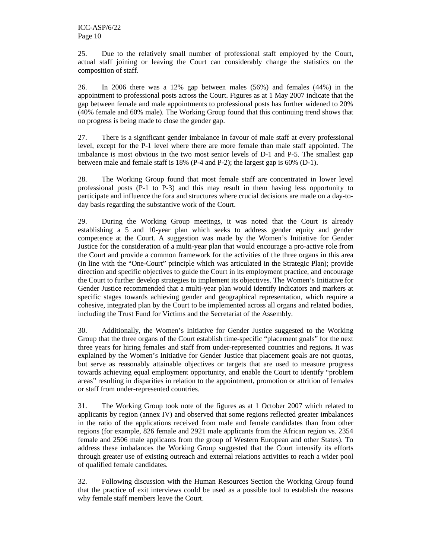25. Due to the relatively small number of professional staff employed by the Court, actual staff joining or leaving the Court can considerably change the statistics on the composition of staff.

26. In 2006 there was a 12% gap between males (56%) and females (44%) in the appointment to professional posts across the Court. Figures as at 1 May 2007 indicate that the gap between female and male appointments to professional posts has further widened to 20% (40% female and 60% male)*.* The Working Group found that this continuing trend shows that no progress is being made to close the gender gap.

27. There is a significant gender imbalance in favour of male staff at every professional level, except for the P-1 level where there are more female than male staff appointed. The imbalance is most obvious in the two most senior levels of D-1 and P-5. The smallest gap between male and female staff is 18% (P-4 and P-2); the largest gap is 60% (D-1).

28. The Working Group found that most female staff are concentrated in lower level professional posts (P-1 to P-3) and this may result in them having less opportunity to participate and influence the fora and structures where crucial decisions are made on a day-today basis regarding the substantive work of the Court.

29. During the Working Group meetings, it was noted that the Court is already establishing a 5 and 10-year plan which seeks to address gender equity and gender competence at the Court. A suggestion was made by the Women's Initiative for Gender Justice for the consideration of a multi-year plan that would encourage a pro-active role from the Court and provide a common framework for the activities of the three organs in this area (in line with the "One-Court" principle which was articulated in the Strategic Plan); provide direction and specific objectives to guide the Court in its employment practice, and encourage the Court to further develop strategies to implement its objectives. The Women's Initiative for Gender Justice recommended that a multi-year plan would identify indicators and markers at specific stages towards achieving gender and geographical representation, which require a cohesive, integrated plan by the Court to be implemented across all organs and related bodies, including the Trust Fund for Victims and the Secretariat of the Assembly.

30. Additionally, the Women's Initiative for Gender Justice suggested to the Working Group that the three organs of the Court establish time-specific "placement goals" for the next three years for hiring females and staff from under-represented countries and regions**.** It was explained by the Women's Initiative for Gender Justice that placement goals are not quotas, but serve as reasonably attainable objectives or targets that are used to measure progress towards achieving equal employment opportunity, and enable the Court to identify "problem areas" resulting in disparities in relation to the appointment, promotion or attrition of females or staff from under-represented countries.

31. The Working Group took note of the figures as at 1 October 2007 which related to applicants by region (annex IV) and observed that some regions reflected greater imbalances in the ratio of the applications received from male and female candidates than from other regions (for example, 826 female and 2921 male applicants from the African region vs. 2354 female and 2506 male applicants from the group of Western European and other States). To address these imbalances the Working Group suggested that the Court intensify its efforts through greater use of existing outreach and external relations activities to reach a wider pool of qualified female candidates.

32. Following discussion with the Human Resources Section the Working Group found that the practice of exit interviews could be used as a possible tool to establish the reasons why female staff members leave the Court.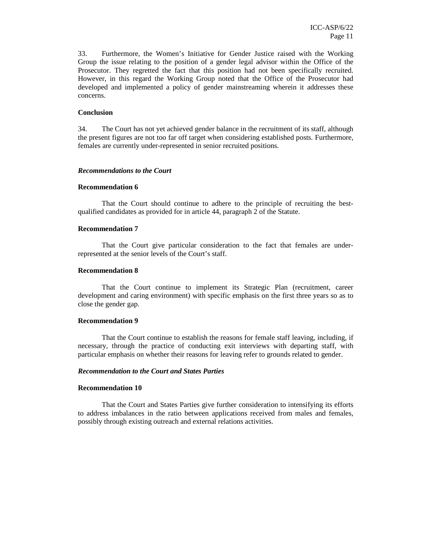33. Furthermore, the Women's Initiative for Gender Justice raised with the Working Group the issue relating to the position of a gender legal advisor within the Office of the Prosecutor. They regretted the fact that this position had not been specifically recruited. However, in this regard the Working Group noted that the Office of the Prosecutor had developed and implemented a policy of gender mainstreaming wherein it addresses these concerns.

# **Conclusion**

34. The Court has not yet achieved gender balance in the recruitment of its staff, although the present figures are not too far off target when considering established posts. Furthermore, females are currently under-represented in senior recruited positions.

#### *Recommendations to the Court*

#### **Recommendation 6**

That the Court should continue to adhere to the principle of recruiting the bestqualified candidates as provided for in article 44, paragraph 2 of the Statute.

### **Recommendation 7**

That the Court give particular consideration to the fact that females are underrepresented at the senior levels of the Court's staff.

### **Recommendation 8**

That the Court continue to implement its Strategic Plan (recruitment, career development and caring environment) with specific emphasis on the first three years so as to close the gender gap.

#### **Recommendation 9**

That the Court continue to establish the reasons for female staff leaving, including, if necessary, through the practice of conducting exit interviews with departing staff, with particular emphasis on whether their reasons for leaving refer to grounds related to gender.

#### *Recommendation to the Court and States Parties*

# **Recommendation 10**

That the Court and States Parties give further consideration to intensifying its efforts to address imbalances in the ratio between applications received from males and females, possibly through existing outreach and external relations activities.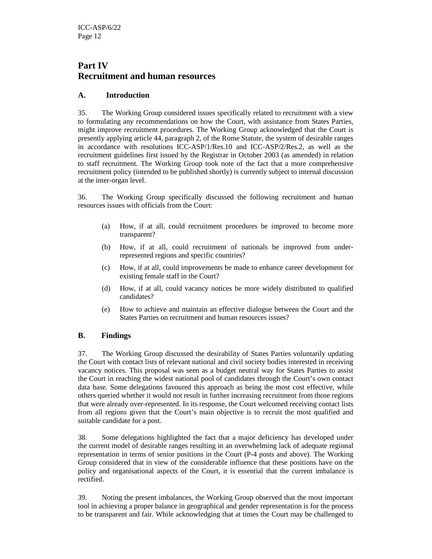# **Part IV Recruitment and human resources**

# **A. Introduction**

35. The Working Group considered issues specifically related to recruitment with a view to formulating any recommendations on how the Court, with assistance from States Parties, might improve recruitment procedures. The Working Group acknowledged that the Court is presently applying article 44, paragraph 2, of the Rome Statute, the system of desirable ranges in accordance with resolutions ICC-ASP/1/Res.10 and ICC-ASP/2/Res.2, as well as the recruitment guidelines first issued by the Registrar in October 2003 (as amended) in relation to staff recruitment. The Working Group took note of the fact that a more comprehensive recruitment policy (intended to be published shortly) is currently subject to internal discussion at the inter-organ level.

36. The Working Group specifically discussed the following recruitment and human resources issues with officials from the Court:

- (a) How, if at all, could recruitment procedures be improved to become more transparent?
- (b) How, if at all, could recruitment of nationals be improved from underrepresented regions and specific countries?
- (c) How, if at all, could improvements be made to enhance career development for existing female staff in the Court?
- (d) How, if at all, could vacancy notices be more widely distributed to qualified candidates?
- (e) How to achieve and maintain an effective dialogue between the Court and the States Parties on recruitment and human resources issues?

# **B. Findings**

37. The Working Group discussed the desirability of States Parties voluntarily updating the Court with contact lists of relevant national and civil society bodies interested in receiving vacancy notices. This proposal was seen as a budget neutral way for States Parties to assist the Court in reaching the widest national pool of candidates through the Court's own contact data base. Some delegations favoured this approach as being the most cost effective, while others queried whether it would not result in further increasing recruitment from those regions that were already over-represented. In its response, the Court welcomed receiving contact lists from all regions given that the Court's main objective is to recruit the most qualified and suitable candidate for a post.

38. Some delegations highlighted the fact that a major deficiency has developed under the current model of desirable ranges resulting in an overwhelming lack of adequate regional representation in terms of senior positions in the Court (P-4 posts and above). The Working Group considered that in view of the considerable influence that these positions have on the policy and organisational aspects of the Court, it is essential that the current imbalance is rectified.

39. Noting the present imbalances, the Working Group observed that the most important tool in achieving a proper balance in geographical and gender representation is for the process to be transparent and fair. While acknowledging that at times the Court may be challenged to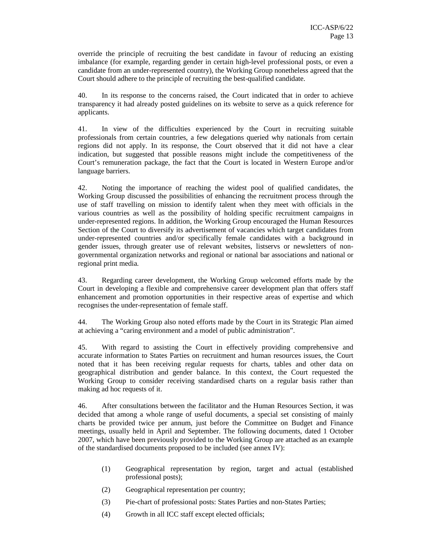override the principle of recruiting the best candidate in favour of reducing an existing imbalance (for example, regarding gender in certain high-level professional posts, or even a candidate from an under-represented country), the Working Group nonetheless agreed that the Court should adhere to the principle of recruiting the best-qualified candidate.

40. In its response to the concerns raised, the Court indicated that in order to achieve transparency it had already posted guidelines on its website to serve as a quick reference for applicants.

41. In view of the difficulties experienced by the Court in recruiting suitable professionals from certain countries, a few delegations queried why nationals from certain regions did not apply. In its response, the Court observed that it did not have a clear indication, but suggested that possible reasons might include the competitiveness of the Court's remuneration package, the fact that the Court is located in Western Europe and/or language barriers.

42. Noting the importance of reaching the widest pool of qualified candidates, the Working Group discussed the possibilities of enhancing the recruitment process through the use of staff travelling on mission to identify talent when they meet with officials in the various countries as well as the possibility of holding specific recruitment campaigns in under-represented regions. In addition, the Working Group encouraged the Human Resources Section of the Court to diversify its advertisement of vacancies which target candidates from under-represented countries and/or specifically female candidates with a background in gender issues, through greater use of relevant websites, listservs or newsletters of nongovernmental organization networks and regional or national bar associations and national or regional print media.

43. Regarding career development, the Working Group welcomed efforts made by the Court in developing a flexible and comprehensive career development plan that offers staff enhancement and promotion opportunities in their respective areas of expertise and which recognises the under-representation of female staff.

44. The Working Group also noted efforts made by the Court in its Strategic Plan aimed at achieving a "caring environment and a model of public administration".

45. With regard to assisting the Court in effectively providing comprehensive and accurate information to States Parties on recruitment and human resources issues, the Court noted that it has been receiving regular requests for charts, tables and other data on geographical distribution and gender balance. In this context, the Court requested the Working Group to consider receiving standardised charts on a regular basis rather than making ad hoc requests of it.

46. After consultations between the facilitator and the Human Resources Section, it was decided that among a whole range of useful documents, a special set consisting of mainly charts be provided twice per annum, just before the Committee on Budget and Finance meetings, usually held in April and September. The following documents, dated 1 October 2007, which have been previously provided to the Working Group are attached as an example of the standardised documents proposed to be included (see annex IV):

- (1) Geographical representation by region, target and actual (established professional posts);
- (2) Geographical representation per country;
- (3) Pie-chart of professional posts: States Parties and non-States Parties;
- (4) Growth in all ICC staff except elected officials;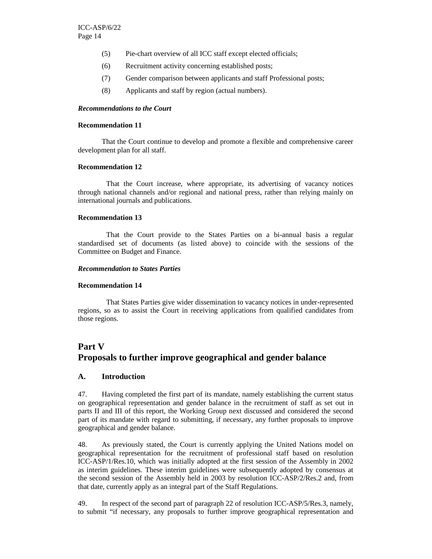- (5) Pie-chart overview of all ICC staff except elected officials;
- (6) Recruitment activity concerning established posts;
- (7) Gender comparison between applicants and staff Professional posts;
- (8) Applicants and staff by region (actual numbers).

#### *Recommendations to the Court*

#### **Recommendation 11**

 That the Court continue to develop and promote a flexible and comprehensive career development plan for all staff.

### **Recommendation 12**

 That the Court increase, where appropriate, its advertising of vacancy notices through national channels and/or regional and national press, rather than relying mainly on international journals and publications.

## **Recommendation 13**

 That the Court provide to the States Parties on a bi-annual basis a regular standardised set of documents (as listed above) to coincide with the sessions of the Committee on Budget and Finance.

#### *Recommendation to States Parties*

#### **Recommendation 14**

 That States Parties give wider dissemination to vacancy notices in under-represented regions, so as to assist the Court in receiving applications from qualified candidates from those regions.

# **Part V Proposals to further improve geographical and gender balance**

#### **A. Introduction**

47. Having completed the first part of its mandate, namely establishing the current status on geographical representation and gender balance in the recruitment of staff as set out in parts II and III of this report, the Working Group next discussed and considered the second part of its mandate with regard to submitting, if necessary, any further proposals to improve geographical and gender balance.

48. As previously stated, the Court is currently applying the United Nations model on geographical representation for the recruitment of professional staff based on resolution ICC-ASP/1/Res.10, which was initially adopted at the first session of the Assembly in 2002 as interim guidelines. These interim guidelines were subsequently adopted by consensus at the second session of the Assembly held in 2003 by resolution ICC-ASP/2/Res.2 and, from that date, currently apply as an integral part of the Staff Regulations.

49. In respect of the second part of paragraph 22 of resolution ICC-ASP/5/Res.3, namely, to submit "if necessary, any proposals to further improve geographical representation and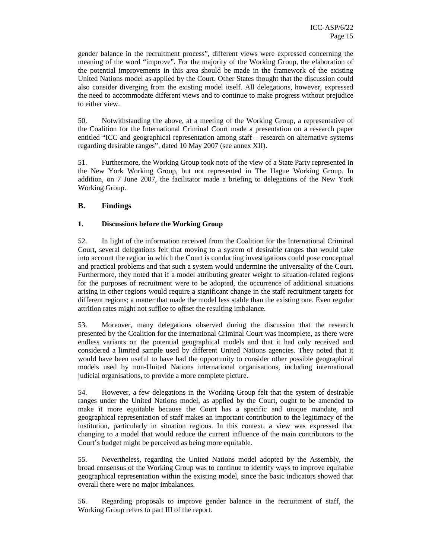gender balance in the recruitment process", different views were expressed concerning the meaning of the word "improve". For the majority of the Working Group, the elaboration of the potential improvements in this area should be made in the framework of the existing United Nations model as applied by the Court. Other States thought that the discussion could also consider diverging from the existing model itself. All delegations, however, expressed the need to accommodate different views and to continue to make progress without prejudice to either view.

50. Notwithstanding the above, at a meeting of the Working Group, a representative of the Coalition for the International Criminal Court made a presentation on a research paper entitled "ICC and geographical representation among staff – research on alternative systems regarding desirable ranges", dated 10 May 2007 (see annex XII).

51. Furthermore, the Working Group took note of the view of a State Party represented in the New York Working Group, but not represented in The Hague Working Group. In addition, on 7 June 2007, the facilitator made a briefing to delegations of the New York Working Group.

# **B. Findings**

# **1. Discussions before the Working Group**

52. In light of the information received from the Coalition for the International Criminal Court, several delegations felt that moving to a system of desirable ranges that would take into account the region in which the Court is conducting investigations could pose conceptual and practical problems and that such a system would undermine the universality of the Court. Furthermore, they noted that if a model attributing greater weight to situation-related regions for the purposes of recruitment were to be adopted, the occurrence of additional situations arising in other regions would require a significant change in the staff recruitment targets for different regions; a matter that made the model less stable than the existing one. Even regular attrition rates might not suffice to offset the resulting imbalance.

53. Moreover, many delegations observed during the discussion that the research presented by the Coalition for the International Criminal Court was incomplete, as there were endless variants on the potential geographical models and that it had only received and considered a limited sample used by different United Nations agencies. They noted that it would have been useful to have had the opportunity to consider other possible geographical models used by non-United Nations international organisations, including international judicial organisations, to provide a more complete picture.

54. However, a few delegations in the Working Group felt that the system of desirable ranges under the United Nations model, as applied by the Court, ought to be amended to make it more equitable because the Court has a specific and unique mandate, and geographical representation of staff makes an important contribution to the legitimacy of the institution, particularly in situation regions. In this context, a view was expressed that changing to a model that would reduce the current influence of the main contributors to the Court's budget might be perceived as being more equitable.

55. Nevertheless, regarding the United Nations model adopted by the Assembly, the broad consensus of the Working Group was to continue to identify ways to improve equitable geographical representation within the existing model, since the basic indicators showed that overall there were no major imbalances.

56. Regarding proposals to improve gender balance in the recruitment of staff, the Working Group refers to part III of the report.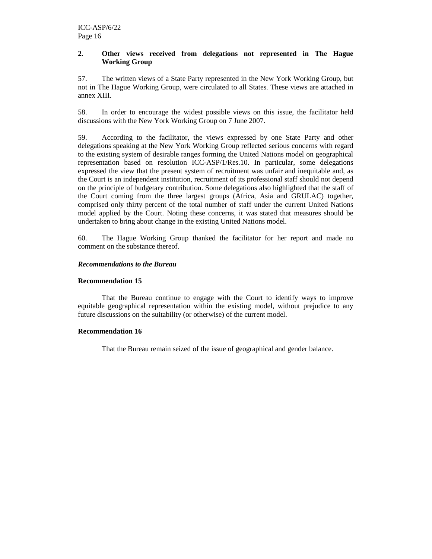# **2. Other views received from delegations not represented in The Hague Working Group**

57. The written views of a State Party represented in the New York Working Group, but not in The Hague Working Group, were circulated to all States. These views are attached in annex XIII.

58. In order to encourage the widest possible views on this issue, the facilitator held discussions with the New York Working Group on 7 June 2007.

59. According to the facilitator, the views expressed by one State Party and other delegations speaking at the New York Working Group reflected serious concerns with regard to the existing system of desirable ranges forming the United Nations model on geographical representation based on resolution ICC-ASP/1/Res.10. In particular, some delegations expressed the view that the present system of recruitment was unfair and inequitable and, as the Court is an independent institution, recruitment of its professional staff should not depend on the principle of budgetary contribution. Some delegations also highlighted that the staff of the Court coming from the three largest groups (Africa, Asia and GRULAC) together, comprised only thirty percent of the total number of staff under the current United Nations model applied by the Court. Noting these concerns, it was stated that measures should be undertaken to bring about change in the existing United Nations model.

60. The Hague Working Group thanked the facilitator for her report and made no comment on the substance thereof.

# *Recommendations to the Bureau*

### **Recommendation 15**

That the Bureau continue to engage with the Court to identify ways to improve equitable geographical representation within the existing model, without prejudice to any future discussions on the suitability (or otherwise) of the current model.

#### **Recommendation 16**

That the Bureau remain seized of the issue of geographical and gender balance.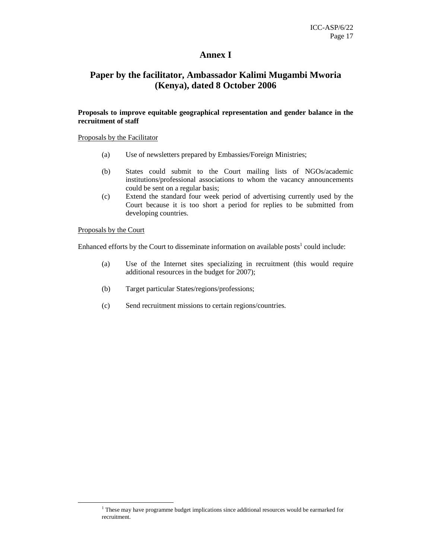# **Annex I**

# **Paper by the facilitator, Ambassador Kalimi Mugambi Mworia (Kenya), dated 8 October 2006**

# **Proposals to improve equitable geographical representation and gender balance in the recruitment of staff**

## Proposals by the Facilitator

- (a) Use of newsletters prepared by Embassies/Foreign Ministries;
- (b) States could submit to the Court mailing lists of NGOs/academic institutions/professional associations to whom the vacancy announcements could be sent on a regular basis;
- (c) Extend the standard four week period of advertising currently used by the Court because it is too short a period for replies to be submitted from developing countries.

## Proposals by the Court

-

Enhanced efforts by the Court to disseminate information on available posts<sup>1</sup> could include:

- (a) Use of the Internet sites specializing in recruitment (this would require additional resources in the budget for 2007);
- (b) Target particular States/regions/professions;
- (c) Send recruitment missions to certain regions/countries.

<sup>&</sup>lt;sup>1</sup> These may have programme budget implications since additional resources would be earmarked for recruitment.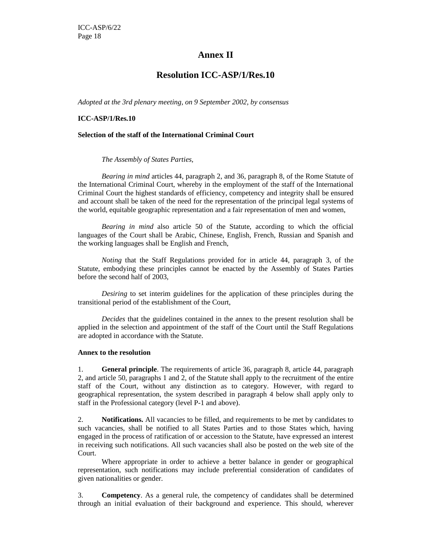# **Annex II**

# **Resolution ICC-ASP/1/Res.10**

*Adopted at the 3rd plenary meeting, on 9 September 2002, by consensus* 

# **ICC-ASP/1/Res.10**

# **Selection of the staff of the International Criminal Court**

# *The Assembly of States Parties,*

*Bearing in mind* articles 44, paragraph 2, and 36, paragraph 8, of the Rome Statute of the International Criminal Court, whereby in the employment of the staff of the International Criminal Court the highest standards of efficiency, competency and integrity shall be ensured and account shall be taken of the need for the representation of the principal legal systems of the world, equitable geographic representation and a fair representation of men and women,

*Bearing in mind* also article 50 of the Statute, according to which the official languages of the Court shall be Arabic, Chinese, English, French, Russian and Spanish and the working languages shall be English and French,

*Noting* that the Staff Regulations provided for in article 44, paragraph 3, of the Statute, embodying these principles cannot be enacted by the Assembly of States Parties before the second half of 2003,

*Desiring* to set interim guidelines for the application of these principles during the transitional period of the establishment of the Court,

*Decides* that the guidelines contained in the annex to the present resolution shall be applied in the selection and appointment of the staff of the Court until the Staff Regulations are adopted in accordance with the Statute.

# **Annex to the resolution**

1. **General principle**. The requirements of article 36, paragraph 8, article 44, paragraph 2, and article 50, paragraphs 1 and 2, of the Statute shall apply to the recruitment of the entire staff of the Court, without any distinction as to category. However, with regard to geographical representation, the system described in paragraph 4 below shall apply only to staff in the Professional category (level P-1 and above).

2. **Notifications.** All vacancies to be filled, and requirements to be met by candidates to such vacancies, shall be notified to all States Parties and to those States which, having engaged in the process of ratification of or accession to the Statute, have expressed an interest in receiving such notifications. All such vacancies shall also be posted on the web site of the Court.

 Where appropriate in order to achieve a better balance in gender or geographical representation, such notifications may include preferential consideration of candidates of given nationalities or gender.

3. **Competency**. As a general rule, the competency of candidates shall be determined through an initial evaluation of their background and experience. This should, wherever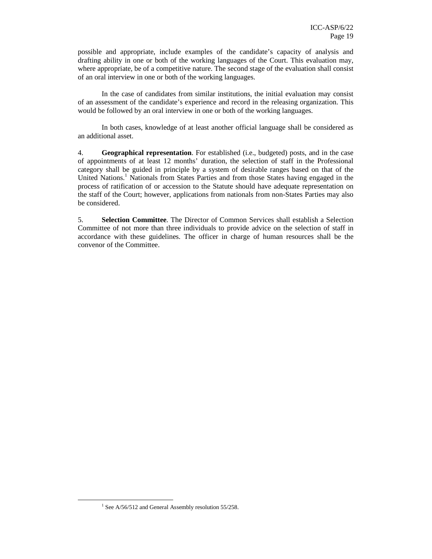possible and appropriate, include examples of the candidate's capacity of analysis and drafting ability in one or both of the working languages of the Court. This evaluation may, where appropriate, be of a competitive nature. The second stage of the evaluation shall consist of an oral interview in one or both of the working languages.

 In the case of candidates from similar institutions, the initial evaluation may consist of an assessment of the candidate's experience and record in the releasing organization. This would be followed by an oral interview in one or both of the working languages.

 In both cases, knowledge of at least another official language shall be considered as an additional asset.

4. **Geographical representation**. For established (i.e., budgeted) posts, and in the case of appointments of at least 12 months' duration, the selection of staff in the Professional category shall be guided in principle by a system of desirable ranges based on that of the United Nations.<sup>1</sup> Nationals from States Parties and from those States having engaged in the process of ratification of or accession to the Statute should have adequate representation on the staff of the Court; however, applications from nationals from non-States Parties may also be considered.

5. **Selection Committee**. The Director of Common Services shall establish a Selection Committee of not more than three individuals to provide advice on the selection of staff in accordance with these guidelines. The officer in charge of human resources shall be the convenor of the Committee.

 $\overline{a}$ 

<sup>&</sup>lt;sup>1</sup> See A/56/512 and General Assembly resolution 55/258.